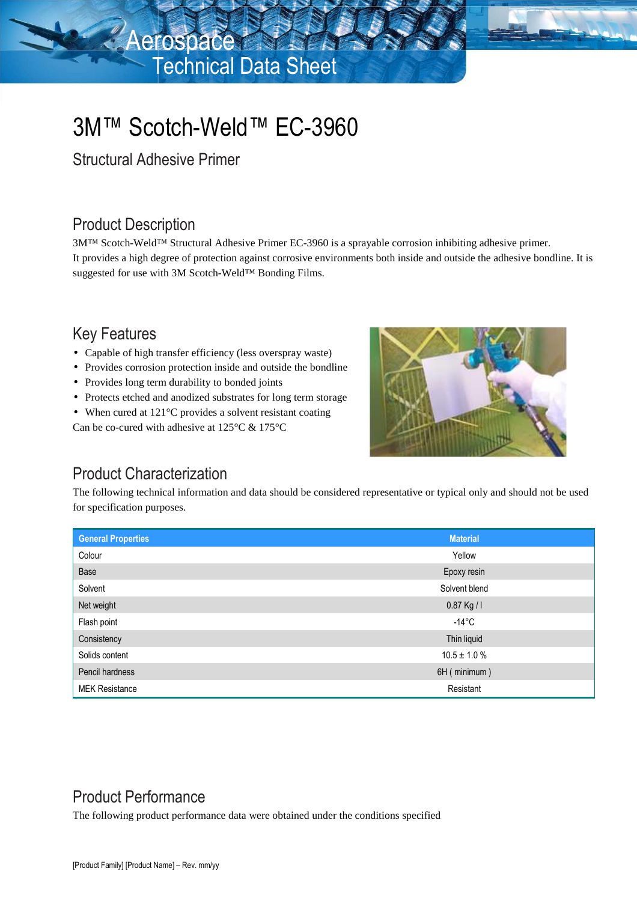## Technical Data Sheet Aerospace

# 3M™ Scotch-Weld™ EC-3960

Structural Adhesive Primer

### Product Description

3M™ Scotch-Weld™ Structural Adhesive Primer EC-3960 is a sprayable corrosion inhibiting adhesive primer. It provides a high degree of protection against corrosive environments both inside and outside the adhesive bondline. It is suggested for use with 3M Scotch-Weld™ Bonding Films.

### Key Features

- Capable of high transfer efficiency (less overspray waste)
- Provides corrosion protection inside and outside the bondline
- Provides long term durability to bonded joints
- Protects etched and anodized substrates for long term storage
- When cured at 121°C provides a solvent resistant coating Can be co-cured with adhesive at 125°C & 175°C



### Product Characterization

The following technical information and data should be considered representative or typical only and should not be used for specification purposes.

| <b>General Properties</b> | <b>Material</b>   |
|---------------------------|-------------------|
| Colour                    | Yellow            |
| Base                      | Epoxy resin       |
| Solvent                   | Solvent blend     |
| Net weight                | 0.87 Kg / I       |
| Flash point               | -14°C             |
| Consistency               | Thin liquid       |
| Solids content            | $10.5 \pm 1.0 \%$ |
| Pencil hardness           | 6H (minimum)      |
| <b>MEK Resistance</b>     | Resistant         |

## Product Performance

The following product performance data were obtained under the conditions specified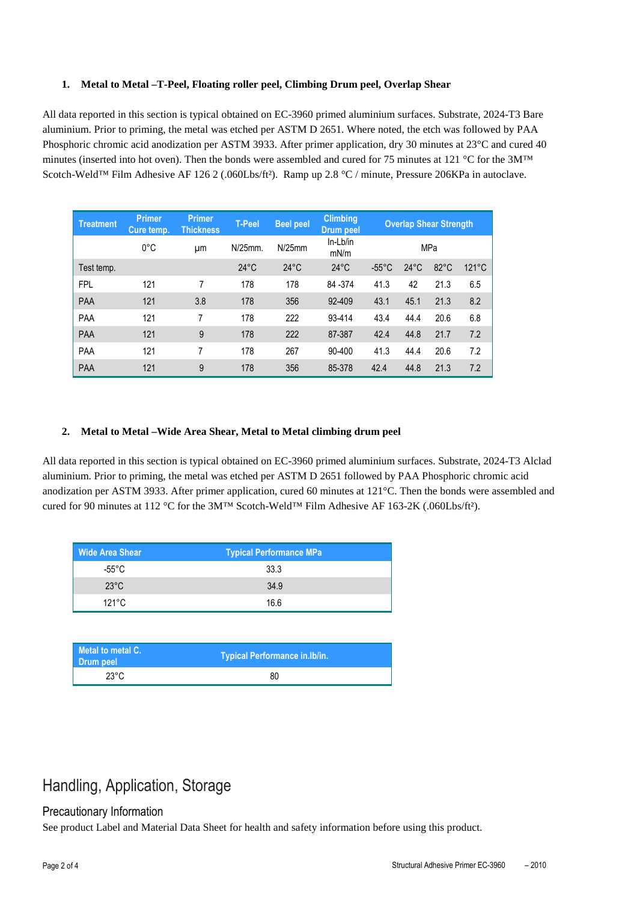#### **1. Metal to Metal –T-Peel, Floating roller peel, Climbing Drum peel, Overlap Shear**

All data reported in this section is typical obtained on EC-3960 primed aluminium surfaces. Substrate, 2024-T3 Bare aluminium. Prior to priming, the metal was etched per ASTM D 2651. Where noted, the etch was followed by PAA Phosphoric chromic acid anodization per ASTM 3933. After primer application, dry 30 minutes at 23°C and cured 40 minutes (inserted into hot oven). Then the bonds were assembled and cured for 75 minutes at 121 °C for the  $3M^{TM}$ Scotch-Weld™ Film Adhesive AF 126 2 (.060Lbs/ft<sup>2</sup>). Ramp up 2.8 °C / minute, Pressure 206KPa in autoclave.

| <b>Treatment</b> | <b>Primer</b><br>Cure temp. | <b>Primer</b><br><b>Thickness</b> | T-Peel         | <b>Beel peel</b> | <b>Climbing</b><br><b>Drum peel</b> | <b>Overlap Shear Strength</b> |                |                |                 |
|------------------|-----------------------------|-----------------------------------|----------------|------------------|-------------------------------------|-------------------------------|----------------|----------------|-----------------|
|                  | $0^{\circ}$ C               | μm                                | $N/25$ mm.     | N/25mm           | $In-Lb/in$<br>mN/m                  |                               |                | MPa            |                 |
| Test temp.       |                             |                                   | $24^{\circ}$ C | $24^{\circ}$ C   | $24^{\circ}$ C                      | $-55^{\circ}$ C               | $24^{\circ}$ C | $82^{\circ}$ C | $121^{\circ}$ C |
| <b>FPL</b>       | 121                         | 7                                 | 178            | 178              | 84 - 374                            | 41.3                          | 42             | 21.3           | 6.5             |
| <b>PAA</b>       | 121                         | 3.8                               | 178            | 356              | 92-409                              | 43.1                          | 45.1           | 21.3           | 8.2             |
| PAA              | 121                         | 7                                 | 178            | 222              | 93-414                              | 43.4                          | 44.4           | 20.6           | 6.8             |
| <b>PAA</b>       | 121                         | 9                                 | 178            | 222              | 87-387                              | 42.4                          | 44.8           | 21.7           | 7.2             |
| PAA              | 121                         | 7                                 | 178            | 267              | 90-400                              | 41.3                          | 44.4           | 20.6           | 7.2             |
| <b>PAA</b>       | 121                         | 9                                 | 178            | 356              | 85-378                              | 42.4                          | 44.8           | 21.3           | 7.2             |

#### **2. Metal to Metal –Wide Area Shear, Metal to Metal climbing drum peel**

All data reported in this section is typical obtained on EC-3960 primed aluminium surfaces. Substrate, 2024-T3 Alclad aluminium. Prior to priming, the metal was etched per ASTM D 2651 followed by PAA Phosphoric chromic acid anodization per ASTM 3933. After primer application, cured 60 minutes at 121°C. Then the bonds were assembled and cured for 90 minutes at 112 °C for the 3M™ Scotch-Weld™ Film Adhesive AF 163-2K (.060Lbs/ft²).

| <b>Wide Area Shear</b> | <b>Typical Performance MPa</b> |
|------------------------|--------------------------------|
| -55°C                  | 33.3                           |
| $23^{\circ}$ C         | 34.9                           |
| $121^{\circ}$ C        | 16.6                           |

| Metal to metal C.<br>Drum peel | Typical Performance in.lb/in. |  |
|--------------------------------|-------------------------------|--|
| $23^{\circ}$ C                 | 80                            |  |

### Handling, Application, Storage

#### Precautionary Information

See product Label and Material Data Sheet for health and safety information before using this product.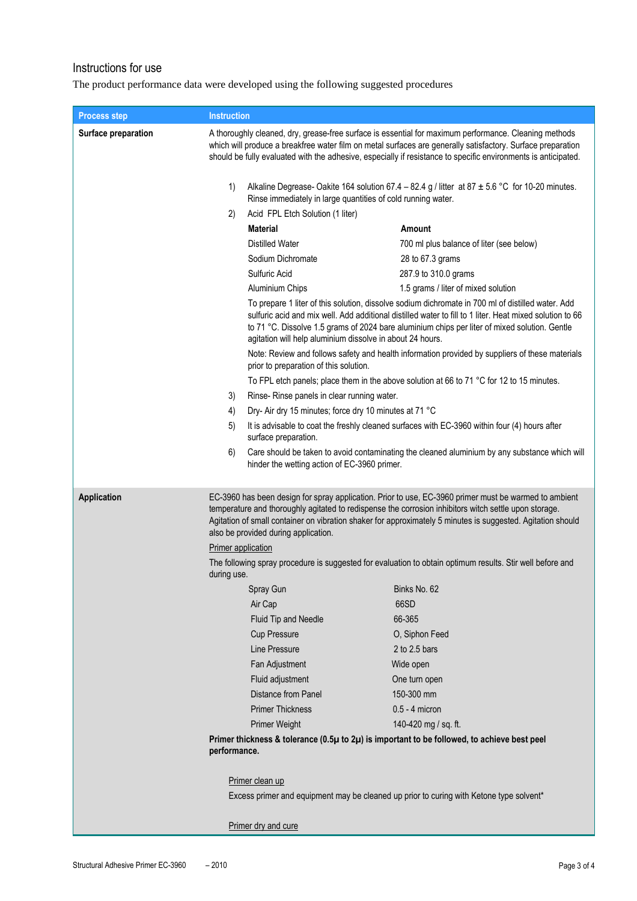### Instructions for use

The product performance data were developed using the following suggested procedures

| <b>Process step</b> | <b>Instruction</b>                                                                                                                                                                                                                                                                                                                                                    |                                                                                                                                                                                                                                                                                                                                                                             |                                                                                               |  |  |
|---------------------|-----------------------------------------------------------------------------------------------------------------------------------------------------------------------------------------------------------------------------------------------------------------------------------------------------------------------------------------------------------------------|-----------------------------------------------------------------------------------------------------------------------------------------------------------------------------------------------------------------------------------------------------------------------------------------------------------------------------------------------------------------------------|-----------------------------------------------------------------------------------------------|--|--|
| Surface preparation | A thoroughly cleaned, dry, grease-free surface is essential for maximum performance. Cleaning methods<br>which will produce a breakfree water film on metal surfaces are generally satisfactory. Surface preparation<br>should be fully evaluated with the adhesive, especially if resistance to specific environments is anticipated.                                |                                                                                                                                                                                                                                                                                                                                                                             |                                                                                               |  |  |
|                     | 1)                                                                                                                                                                                                                                                                                                                                                                    | Alkaline Degrease- Oakite 164 solution 67.4 – 82.4 g / litter at 87 $\pm$ 5.6 °C for 10-20 minutes.<br>Rinse immediately in large quantities of cold running water.                                                                                                                                                                                                         |                                                                                               |  |  |
|                     | 2)                                                                                                                                                                                                                                                                                                                                                                    | Acid FPL Etch Solution (1 liter)                                                                                                                                                                                                                                                                                                                                            |                                                                                               |  |  |
|                     |                                                                                                                                                                                                                                                                                                                                                                       | <b>Material</b>                                                                                                                                                                                                                                                                                                                                                             | Amount                                                                                        |  |  |
|                     |                                                                                                                                                                                                                                                                                                                                                                       | <b>Distilled Water</b>                                                                                                                                                                                                                                                                                                                                                      | 700 ml plus balance of liter (see below)                                                      |  |  |
|                     |                                                                                                                                                                                                                                                                                                                                                                       | Sodium Dichromate                                                                                                                                                                                                                                                                                                                                                           | 28 to 67.3 grams                                                                              |  |  |
|                     |                                                                                                                                                                                                                                                                                                                                                                       | Sulfuric Acid                                                                                                                                                                                                                                                                                                                                                               | 287.9 to 310.0 grams                                                                          |  |  |
|                     |                                                                                                                                                                                                                                                                                                                                                                       | Aluminium Chips                                                                                                                                                                                                                                                                                                                                                             | 1.5 grams / liter of mixed solution                                                           |  |  |
|                     |                                                                                                                                                                                                                                                                                                                                                                       | To prepare 1 liter of this solution, dissolve sodium dichromate in 700 ml of distilled water. Add<br>sulfuric acid and mix well. Add additional distilled water to fill to 1 liter. Heat mixed solution to 66<br>to 71 °C. Dissolve 1.5 grams of 2024 bare aluminium chips per liter of mixed solution. Gentle<br>agitation will help aluminium dissolve in about 24 hours. |                                                                                               |  |  |
|                     |                                                                                                                                                                                                                                                                                                                                                                       | Note: Review and follows safety and health information provided by suppliers of these materials<br>prior to preparation of this solution.                                                                                                                                                                                                                                   |                                                                                               |  |  |
|                     |                                                                                                                                                                                                                                                                                                                                                                       |                                                                                                                                                                                                                                                                                                                                                                             | To FPL etch panels; place them in the above solution at 66 to 71 °C for 12 to 15 minutes.     |  |  |
|                     | 3)                                                                                                                                                                                                                                                                                                                                                                    | Rinse- Rinse panels in clear running water.                                                                                                                                                                                                                                                                                                                                 |                                                                                               |  |  |
|                     | 4)                                                                                                                                                                                                                                                                                                                                                                    | Dry- Air dry 15 minutes; force dry 10 minutes at 71 °C                                                                                                                                                                                                                                                                                                                      |                                                                                               |  |  |
|                     | 5)                                                                                                                                                                                                                                                                                                                                                                    | surface preparation.                                                                                                                                                                                                                                                                                                                                                        | It is advisable to coat the freshly cleaned surfaces with EC-3960 within four (4) hours after |  |  |
|                     | 6)                                                                                                                                                                                                                                                                                                                                                                    | hinder the wetting action of EC-3960 primer.                                                                                                                                                                                                                                                                                                                                | Care should be taken to avoid contaminating the cleaned aluminium by any substance which will |  |  |
| Application         | EC-3960 has been design for spray application. Prior to use, EC-3960 primer must be warmed to ambient<br>temperature and thoroughly agitated to redispense the corrosion inhibitors witch settle upon storage.<br>Agitation of small container on vibration shaker for approximately 5 minutes is suggested. Agitation should<br>also be provided during application. |                                                                                                                                                                                                                                                                                                                                                                             |                                                                                               |  |  |
|                     |                                                                                                                                                                                                                                                                                                                                                                       | Primer application<br>The following spray procedure is suggested for evaluation to obtain optimum results. Stir well before and<br>during use.                                                                                                                                                                                                                              |                                                                                               |  |  |
|                     |                                                                                                                                                                                                                                                                                                                                                                       |                                                                                                                                                                                                                                                                                                                                                                             |                                                                                               |  |  |
|                     |                                                                                                                                                                                                                                                                                                                                                                       | Spray Gun                                                                                                                                                                                                                                                                                                                                                                   | Binks No. 62                                                                                  |  |  |
|                     |                                                                                                                                                                                                                                                                                                                                                                       | Air Cap                                                                                                                                                                                                                                                                                                                                                                     | 66SD                                                                                          |  |  |
|                     |                                                                                                                                                                                                                                                                                                                                                                       | Fluid Tip and Needle                                                                                                                                                                                                                                                                                                                                                        | 66-365                                                                                        |  |  |
|                     |                                                                                                                                                                                                                                                                                                                                                                       | <b>Cup Pressure</b>                                                                                                                                                                                                                                                                                                                                                         | O, Siphon Feed                                                                                |  |  |
|                     |                                                                                                                                                                                                                                                                                                                                                                       | Line Pressure                                                                                                                                                                                                                                                                                                                                                               | 2 to 2.5 bars                                                                                 |  |  |
|                     |                                                                                                                                                                                                                                                                                                                                                                       | Fan Adjustment                                                                                                                                                                                                                                                                                                                                                              | Wide open                                                                                     |  |  |
|                     |                                                                                                                                                                                                                                                                                                                                                                       | Fluid adjustment                                                                                                                                                                                                                                                                                                                                                            | One turn open                                                                                 |  |  |
|                     |                                                                                                                                                                                                                                                                                                                                                                       | Distance from Panel                                                                                                                                                                                                                                                                                                                                                         | 150-300 mm                                                                                    |  |  |
|                     |                                                                                                                                                                                                                                                                                                                                                                       | <b>Primer Thickness</b>                                                                                                                                                                                                                                                                                                                                                     | $0.5 - 4$ micron                                                                              |  |  |
|                     |                                                                                                                                                                                                                                                                                                                                                                       | Primer Weight                                                                                                                                                                                                                                                                                                                                                               | 140-420 mg / sq. ft.                                                                          |  |  |
|                     | Primer thickness & tolerance (0.5 $\mu$ to 2 $\mu$ ) is important to be followed, to achieve best peel<br>performance.                                                                                                                                                                                                                                                |                                                                                                                                                                                                                                                                                                                                                                             |                                                                                               |  |  |
|                     |                                                                                                                                                                                                                                                                                                                                                                       |                                                                                                                                                                                                                                                                                                                                                                             |                                                                                               |  |  |
|                     |                                                                                                                                                                                                                                                                                                                                                                       | Primer clean up<br>Excess primer and equipment may be cleaned up prior to curing with Ketone type solvent*                                                                                                                                                                                                                                                                  |                                                                                               |  |  |
|                     |                                                                                                                                                                                                                                                                                                                                                                       | Primer dry and cure                                                                                                                                                                                                                                                                                                                                                         |                                                                                               |  |  |